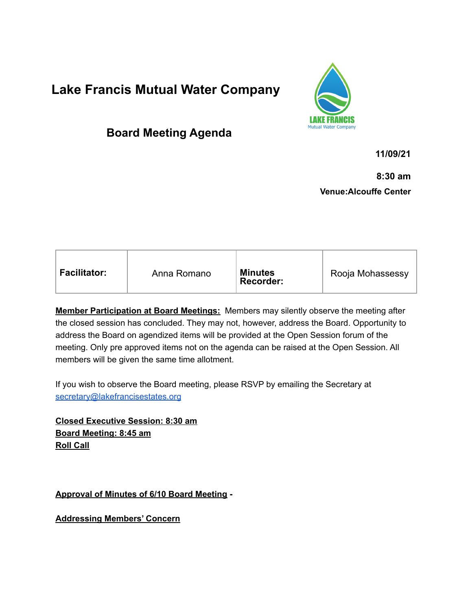# **Lake Francis Mutual Water Company**



# **Board Meeting Agenda**

**11/09/21**

**8:30 am Venue:Alcouffe Center**

| <b>Facilitator:</b><br>Anna Romano | <b>Minutes</b><br><b>Recorder:</b> | Rooja Mohassessy |
|------------------------------------|------------------------------------|------------------|
|------------------------------------|------------------------------------|------------------|

**Member Participation at Board Meetings:** Members may silently observe the meeting after the closed session has concluded. They may not, however, address the Board. Opportunity to address the Board on agendized items will be provided at the Open Session forum of the meeting. Only pre approved items not on the agenda can be raised at the Open Session. All members will be given the same time allotment.

If you wish to observe the Board meeting, please RSVP by emailing the Secretary at [secretary@lakefrancisestates.org](mailto:secretary@lakefrancisestates.org)

**Closed Executive Session: 8:30 am Board Meeting: 8:45 am Roll Call**

**Approval of Minutes of 6/10 Board Meeting -**

**Addressing Members' Concern**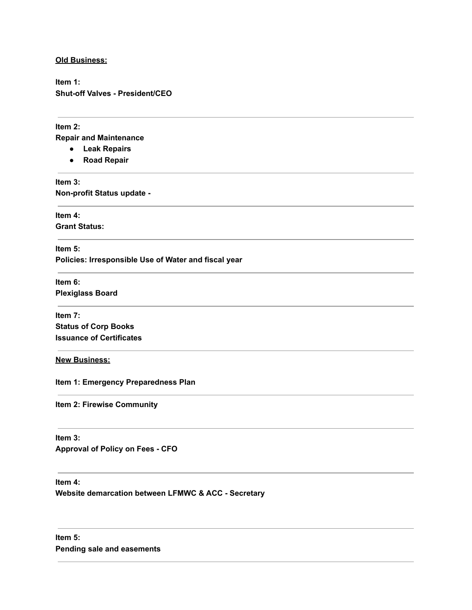#### **Old Business:**

**Item 1: Shut-off Valves - President/CEO**

#### **Item 2:**

**Repair and Maintenance**

- **● Leak Repairs**
- **● Road Repair**

**Item 3: Non-profit Status update -**

**Item 4: Grant Status:**

**Item 5: Policies: Irresponsible Use of Water and fiscal year**

**Item 6: Plexiglass Board**

**Item 7: Status of Corp Books Issuance of Certificates**

### **New Business:**

**Item 1: Emergency Preparedness Plan**

**Item 2: Firewise Community**

## **Item 3:**

**Approval of Policy on Fees - CFO**

#### **Item 4:**

**Website demarcation between LFMWC & ACC - Secretary**